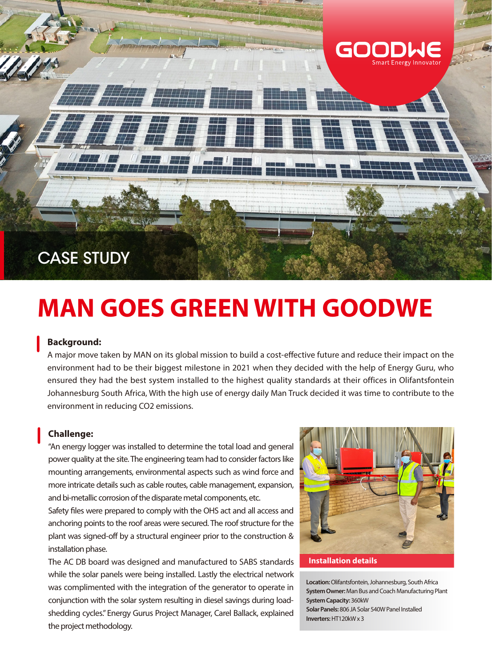

# **MAN GOES GREEN WITH GOODWE**

### **Background:**

A major move taken by MAN on its global mission to build a cost-effective future and reduce their impact on the environment had to be their biggest milestone in 2021 when they decided with the help of Energy Guru, who ensured they had the best system installed to the highest quality standards at their offices in Olifantsfontein Johannesburg South Africa, With the high use of energy daily Man Truck decided it was time to contribute to the environment in reducing CO2 emissions.

## **Challenge:**

"An energy logger was installed to determine the total load and general power quality at the site. The engineering team had to consider factors like mounting arrangements, environmental aspects such as wind force and more intricate details such as cable routes, cable management, expansion, and bi-metallic corrosion of the disparate metal components, etc.

Safety files were prepared to comply with the OHS act and all access and anchoring points to the roof areas were secured. The roof structure for the plant was signed-off by a structural engineer prior to the construction & installation phase.

The AC DB board was designed and manufactured to SABS standards while the solar panels were being installed. Lastly the electrical network was complimented with the integration of the generator to operate in conjunction with the solar system resulting in diesel savings during loadshedding cycles." Energy Gurus Project Manager, Carel Ballack, explained the project methodology.



#### **Installation details**

**Location:** Olifantsfontein, Johannesburg, South Africa **System Owner:** Man Bus and Coach Manufacturing Plant **System Capacity:** 360kW **Solar Panels:** 806 JA Solar 540W Panel Installed **Inverters:** HT120kW x 3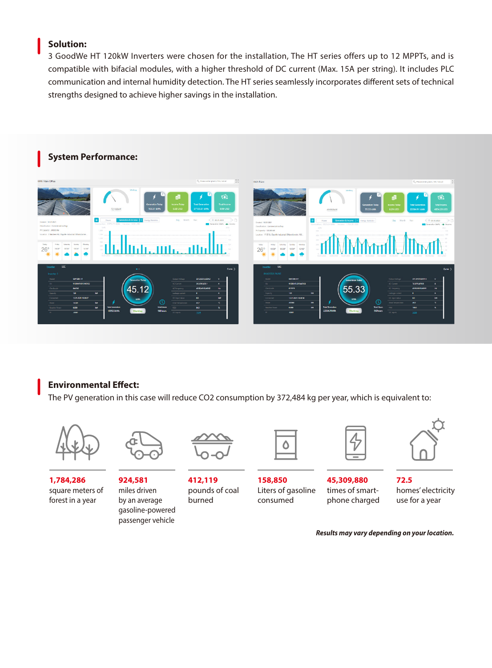# **Solution:**

3 GoodWe HT 120kW Inverters were chosen for the installation, The HT series offers up to 12 MPPTs, and is compatible with bifacial modules, with a higher threshold of DC current (Max. 15A per string). It includes PLC communication and internal humidity detection. The HT series seamlessly incorporates different sets of technical strengths designed to achieve higher savings in the installation.



# **Environmental Effect:**

The PV generation in this case will reduce CO2 consumption by 372,484 kg per year, which is equivalent to:



**1,784,286** square meters of forest in a year



**924,581** miles driven by an average gasoline-powered passenger vehicle



**412,119** pounds of coal burned

**158,850** Liters of gasoline consumed

**45,309,880** times of smartphone charged



**72.5** homes' electricity use for a year

*Results may vary depending on your location.*